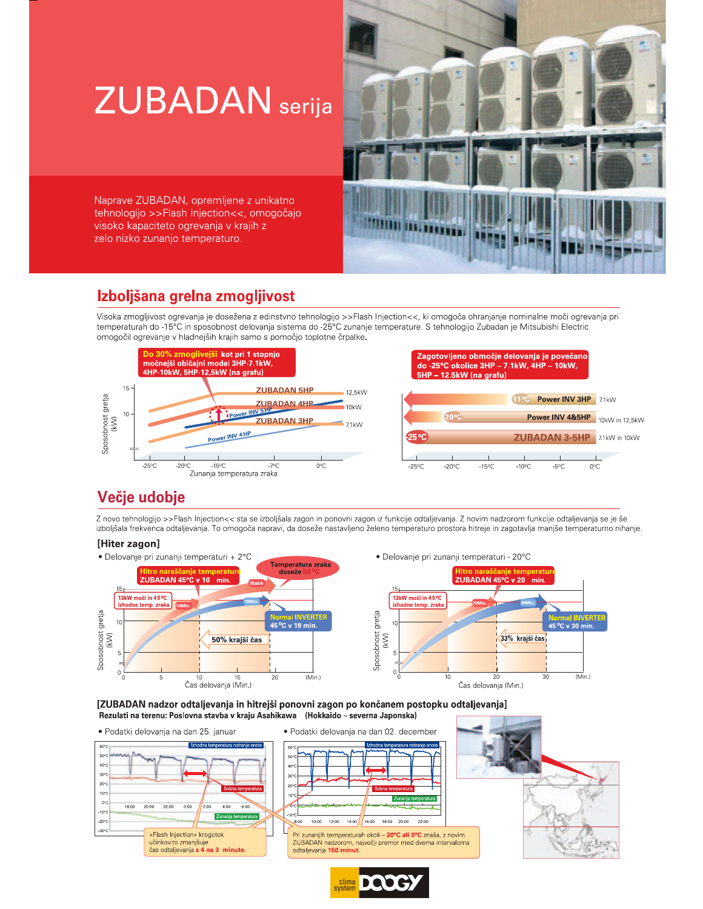# **ZUBADAN** serija

Naprave ZUBADAN, opremljene z unikatno tehnologijo >>Flash Injection<<, omogočajo visoko kapaciteto ogrevanja v krajih z zelo nizko zunanjo temperaturo.

## Izboljšana grelna zmogljivost

Visoka zmogljivost ogrevanja je dosežena z edinstvno tehnologijo >>Flash Injection<<, ki omogoča ohranjanje nominalne moči ogrevanja pri temperaturah do -15°C in sposobnost delovanja sistema do -25°C zunanje temperature. S tehnologijo Zubadan je Mitsubishi Electric omogočil ogrevanje v hladnejših krajih samo s pomočjo toplotne črpalke.



Zagotovljeno območje delovanja je povečano do -25°C okolice 3HP - 7.1kW, 4HP - 10kW, 5HP - 12.5kW (na grafu) Power INV 3HP 7.1kW Power INV 4&5HP 10kW in 12,5kW 25 °C **ZUBADAN 3-5HP** 7.1kW in 10kW  $-25^{\circ}$ C  $-20^{\circ}$ C  $-15^{\circ}$ C  $-10^{\circ}$ C  $O^{\circ}C$  $-5^{\circ}$ C

 $(Min.)$ 

## Večje udobje

Z novo tehnologijo >>Flash Injection<< sta se izboljšala zagon in ponovni zagon iz funkcije odtaljevanja. Z novim nadzorom funkcije odtaljevanja se je še izboljšala frekvenca odtaljevanja. To omogoča napravi, da doseže nastavljeno želeno temperaturo prostora hitreje in zagotavlja manjše temperaturno nihanje.

### [Hiter zagon]



[ZUBADAN nadzor odtaljevanja in hitrejši ponovni zagon po končanem postopku odtaljevanja] Rezulati na terenu: Poslovna stavba v kraju Asahikawa (Hokkaido - severna Japonska)